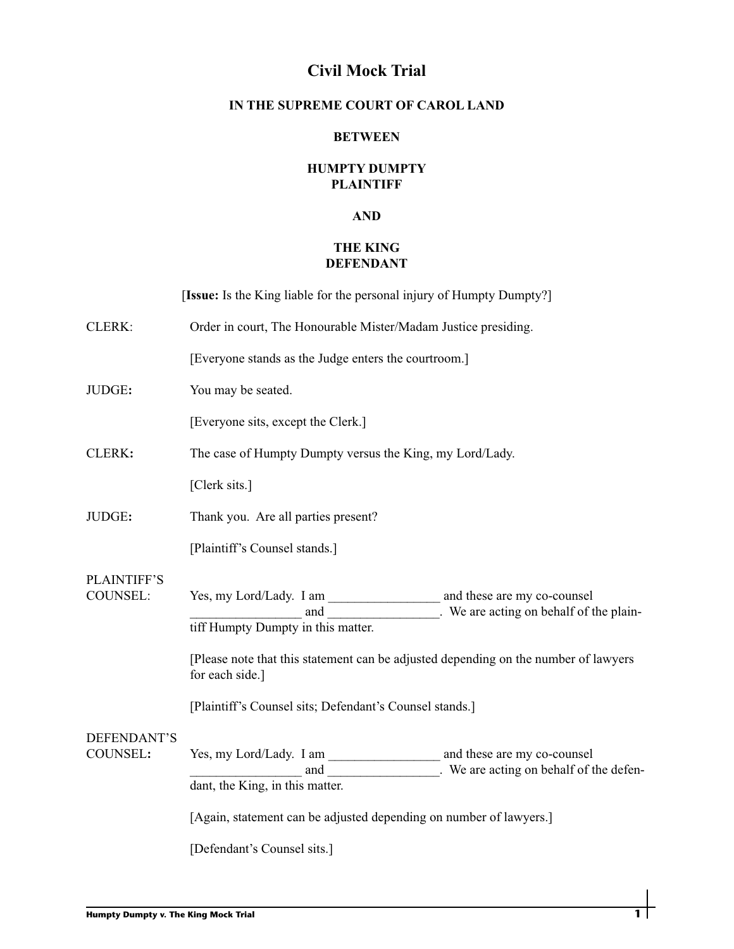# **Civil Mock Trial**

### **IN THE SUPREME COURT OF CAROL LAND**

#### **BETWEEN**

### **HUMPTY DUMPTY PLAINTIFF**

#### **AND**

## **THE KING DEFENDANT**

[**Issue:** Is the King liable for the personal injury of Humpty Dumpty?]

| CLERK:                                | Order in court, The Honourable Mister/Madam Justice presiding.                                                                                                                                                                                                        |
|---------------------------------------|-----------------------------------------------------------------------------------------------------------------------------------------------------------------------------------------------------------------------------------------------------------------------|
|                                       | [Everyone stands as the Judge enters the courtroom.]                                                                                                                                                                                                                  |
| JUDGE:                                | You may be seated.                                                                                                                                                                                                                                                    |
|                                       | [Everyone sits, except the Clerk.]                                                                                                                                                                                                                                    |
| CLERK:                                | The case of Humpty Dumpty versus the King, my Lord/Lady.                                                                                                                                                                                                              |
|                                       | [Clerk sits.]                                                                                                                                                                                                                                                         |
| JUDGE:                                | Thank you. Are all parties present?                                                                                                                                                                                                                                   |
|                                       | [Plaintiff's Counsel stands.]                                                                                                                                                                                                                                         |
| <b>PLAINTIFF'S</b><br><b>COUNSEL:</b> | and _______________. We are acting on behalf of the plain-<br>tiff Humpty Dumpty in this matter.<br>[Please note that this statement can be adjusted depending on the number of lawyers<br>for each side.]<br>[Plaintiff's Counsel sits; Defendant's Counsel stands.] |
| DEFENDANT'S<br>COUNSEL:               | dant, the King, in this matter.<br>[Again, statement can be adjusted depending on number of lawyers.]<br>[Defendant's Counsel sits.]                                                                                                                                  |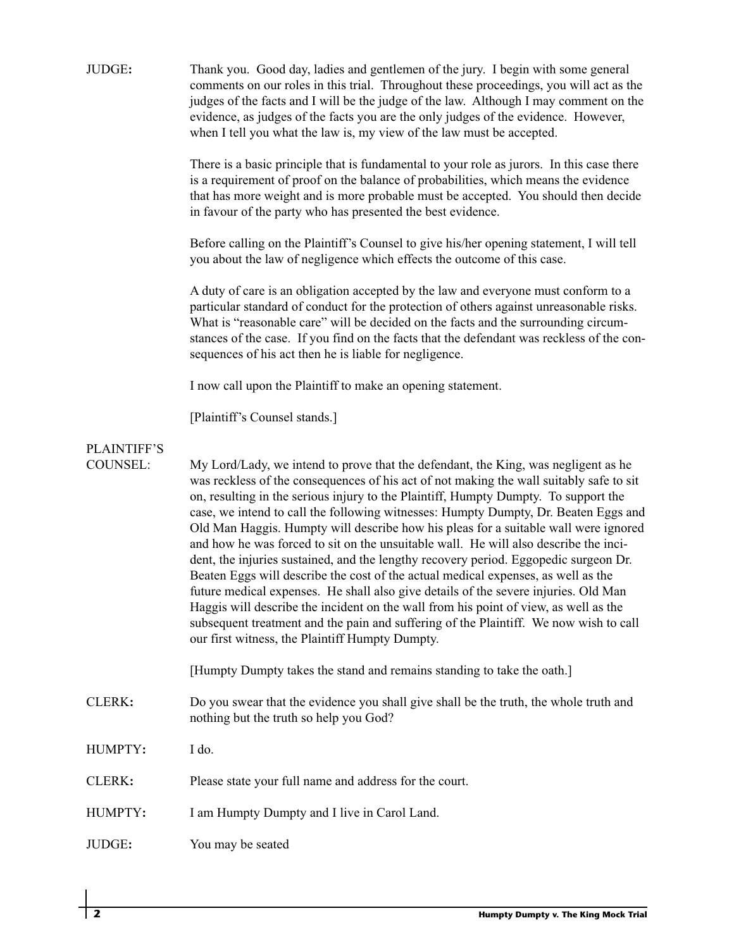| JUDGE:                                | Thank you. Good day, ladies and gentlemen of the jury. I begin with some general<br>comments on our roles in this trial. Throughout these proceedings, you will act as the<br>judges of the facts and I will be the judge of the law. Although I may comment on the<br>evidence, as judges of the facts you are the only judges of the evidence. However,<br>when I tell you what the law is, my view of the law must be accepted.<br>There is a basic principle that is fundamental to your role as jurors. In this case there<br>is a requirement of proof on the balance of probabilities, which means the evidence<br>that has more weight and is more probable must be accepted. You should then decide<br>in favour of the party who has presented the best evidence.<br>Before calling on the Plaintiff's Counsel to give his/her opening statement, I will tell<br>you about the law of negligence which effects the outcome of this case.<br>A duty of care is an obligation accepted by the law and everyone must conform to a<br>particular standard of conduct for the protection of others against unreasonable risks.<br>What is "reasonable care" will be decided on the facts and the surrounding circum-<br>stances of the case. If you find on the facts that the defendant was reckless of the con-<br>sequences of his act then he is liable for negligence. |
|---------------------------------------|----------------------------------------------------------------------------------------------------------------------------------------------------------------------------------------------------------------------------------------------------------------------------------------------------------------------------------------------------------------------------------------------------------------------------------------------------------------------------------------------------------------------------------------------------------------------------------------------------------------------------------------------------------------------------------------------------------------------------------------------------------------------------------------------------------------------------------------------------------------------------------------------------------------------------------------------------------------------------------------------------------------------------------------------------------------------------------------------------------------------------------------------------------------------------------------------------------------------------------------------------------------------------------------------------------------------------------------------------------------------------------|
|                                       | I now call upon the Plaintiff to make an opening statement.                                                                                                                                                                                                                                                                                                                                                                                                                                                                                                                                                                                                                                                                                                                                                                                                                                                                                                                                                                                                                                                                                                                                                                                                                                                                                                                      |
|                                       | [Plaintiff's Counsel stands.]                                                                                                                                                                                                                                                                                                                                                                                                                                                                                                                                                                                                                                                                                                                                                                                                                                                                                                                                                                                                                                                                                                                                                                                                                                                                                                                                                    |
| <b>PLAINTIFF'S</b><br><b>COUNSEL:</b> | My Lord/Lady, we intend to prove that the defendant, the King, was negligent as he<br>was reckless of the consequences of his act of not making the wall suitably safe to sit<br>on, resulting in the serious injury to the Plaintiff, Humpty Dumpty. To support the<br>case, we intend to call the following witnesses: Humpty Dumpty, Dr. Beaten Eggs and<br>Old Man Haggis. Humpty will describe how his pleas for a suitable wall were ignored<br>and how he was forced to sit on the unsuitable wall. He will also describe the inci-<br>dent, the injuries sustained, and the lengthy recovery period. Eggopedic surgeon Dr.<br>Beaten Eggs will describe the cost of the actual medical expenses, as well as the<br>future medical expenses. He shall also give details of the severe injuries. Old Man<br>Haggis will describe the incident on the wall from his point of view, as well as the<br>subsequent treatment and the pain and suffering of the Plaintiff. We now wish to call<br>our first witness, the Plaintiff Humpty Dumpty.                                                                                                                                                                                                                                                                                                                               |
|                                       | [Humpty Dumpty takes the stand and remains standing to take the oath.]                                                                                                                                                                                                                                                                                                                                                                                                                                                                                                                                                                                                                                                                                                                                                                                                                                                                                                                                                                                                                                                                                                                                                                                                                                                                                                           |
| CLERK:                                | Do you swear that the evidence you shall give shall be the truth, the whole truth and<br>nothing but the truth so help you God?                                                                                                                                                                                                                                                                                                                                                                                                                                                                                                                                                                                                                                                                                                                                                                                                                                                                                                                                                                                                                                                                                                                                                                                                                                                  |
| HUMPTY:                               | I do.                                                                                                                                                                                                                                                                                                                                                                                                                                                                                                                                                                                                                                                                                                                                                                                                                                                                                                                                                                                                                                                                                                                                                                                                                                                                                                                                                                            |
| CLERK:                                | Please state your full name and address for the court.                                                                                                                                                                                                                                                                                                                                                                                                                                                                                                                                                                                                                                                                                                                                                                                                                                                                                                                                                                                                                                                                                                                                                                                                                                                                                                                           |
| HUMPTY:                               | I am Humpty Dumpty and I live in Carol Land.                                                                                                                                                                                                                                                                                                                                                                                                                                                                                                                                                                                                                                                                                                                                                                                                                                                                                                                                                                                                                                                                                                                                                                                                                                                                                                                                     |
| JUDGE:                                | You may be seated                                                                                                                                                                                                                                                                                                                                                                                                                                                                                                                                                                                                                                                                                                                                                                                                                                                                                                                                                                                                                                                                                                                                                                                                                                                                                                                                                                |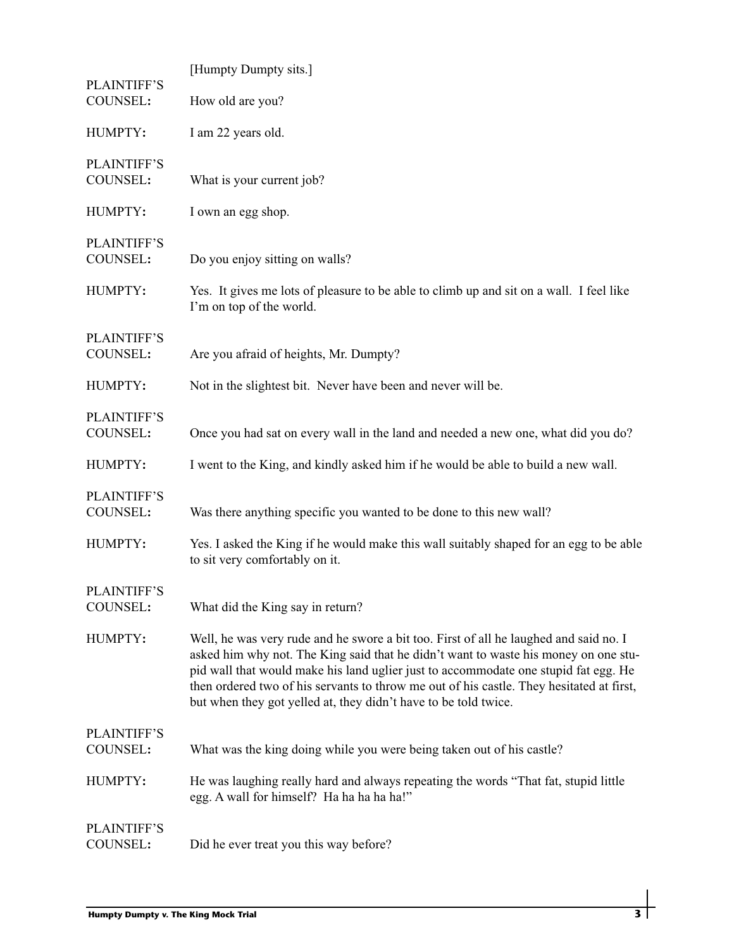| PLAINTIFF'S                    | [Humpty Dumpty sits.]                                                                                                                                                                                                                                                                                                                                                                                                              |
|--------------------------------|------------------------------------------------------------------------------------------------------------------------------------------------------------------------------------------------------------------------------------------------------------------------------------------------------------------------------------------------------------------------------------------------------------------------------------|
| COUNSEL:                       | How old are you?                                                                                                                                                                                                                                                                                                                                                                                                                   |
| HUMPTY:                        | I am 22 years old.                                                                                                                                                                                                                                                                                                                                                                                                                 |
| <b>PLAINTIFF'S</b><br>COUNSEL: | What is your current job?                                                                                                                                                                                                                                                                                                                                                                                                          |
| HUMPTY:                        | I own an egg shop.                                                                                                                                                                                                                                                                                                                                                                                                                 |
| PLAINTIFF'S<br>COUNSEL:        | Do you enjoy sitting on walls?                                                                                                                                                                                                                                                                                                                                                                                                     |
| HUMPTY:                        | Yes. It gives me lots of pleasure to be able to climb up and sit on a wall. I feel like<br>I'm on top of the world.                                                                                                                                                                                                                                                                                                                |
| <b>PLAINTIFF'S</b><br>COUNSEL: | Are you afraid of heights, Mr. Dumpty?                                                                                                                                                                                                                                                                                                                                                                                             |
| HUMPTY:                        | Not in the slightest bit. Never have been and never will be.                                                                                                                                                                                                                                                                                                                                                                       |
| <b>PLAINTIFF'S</b><br>COUNSEL: | Once you had sat on every wall in the land and needed a new one, what did you do?                                                                                                                                                                                                                                                                                                                                                  |
| HUMPTY:                        | I went to the King, and kindly asked him if he would be able to build a new wall.                                                                                                                                                                                                                                                                                                                                                  |
| PLAINTIFF'S<br>COUNSEL:        | Was there anything specific you wanted to be done to this new wall?                                                                                                                                                                                                                                                                                                                                                                |
| HUMPTY:                        | Yes. I asked the King if he would make this wall suitably shaped for an egg to be able<br>to sit very comfortably on it.                                                                                                                                                                                                                                                                                                           |
| <b>PLAINTIFF'S</b><br>COUNSEL: | What did the King say in return?                                                                                                                                                                                                                                                                                                                                                                                                   |
| HUMPTY:                        | Well, he was very rude and he swore a bit too. First of all he laughed and said no. I<br>asked him why not. The King said that he didn't want to waste his money on one stu-<br>pid wall that would make his land uglier just to accommodate one stupid fat egg. He<br>then ordered two of his servants to throw me out of his castle. They hesitated at first,<br>but when they got yelled at, they didn't have to be told twice. |
| <b>PLAINTIFF'S</b><br>COUNSEL: | What was the king doing while you were being taken out of his castle?                                                                                                                                                                                                                                                                                                                                                              |
| HUMPTY:                        | He was laughing really hard and always repeating the words "That fat, stupid little<br>egg. A wall for himself? Ha ha ha ha ha!"                                                                                                                                                                                                                                                                                                   |
| PLAINTIFF'S<br>COUNSEL:        | Did he ever treat you this way before?                                                                                                                                                                                                                                                                                                                                                                                             |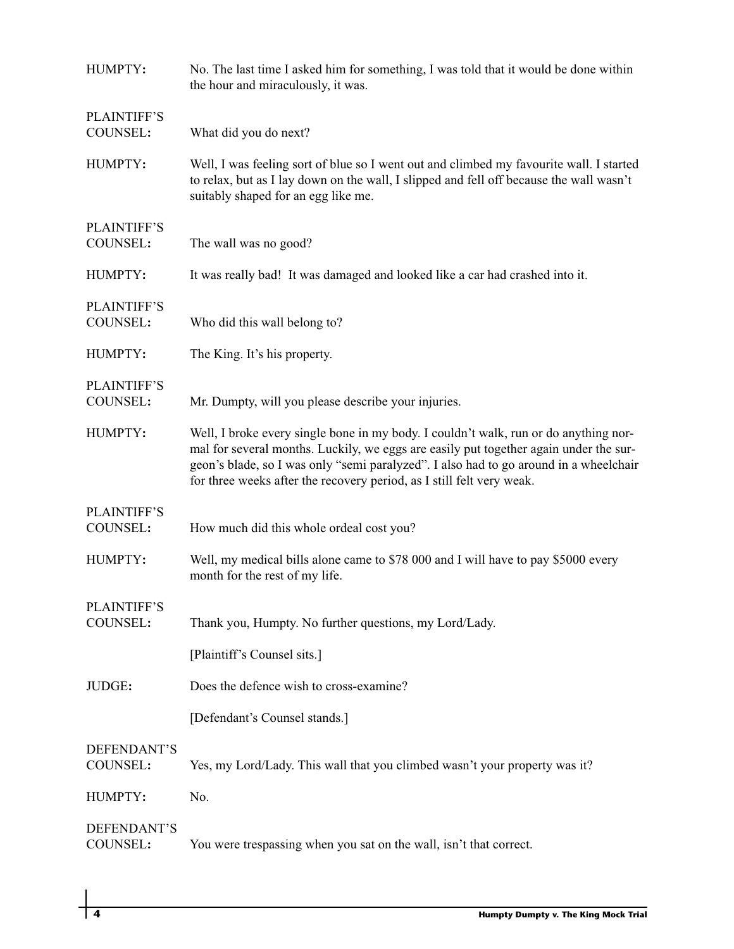| HUMPTY:                        | No. The last time I asked him for something, I was told that it would be done within<br>the hour and miraculously, it was.                                                                                                                                                                                                                      |
|--------------------------------|-------------------------------------------------------------------------------------------------------------------------------------------------------------------------------------------------------------------------------------------------------------------------------------------------------------------------------------------------|
| <b>PLAINTIFF'S</b><br>COUNSEL: | What did you do next?                                                                                                                                                                                                                                                                                                                           |
| HUMPTY:                        | Well, I was feeling sort of blue so I went out and climbed my favourite wall. I started<br>to relax, but as I lay down on the wall, I slipped and fell off because the wall wasn't<br>suitably shaped for an egg like me.                                                                                                                       |
| <b>PLAINTIFF'S</b><br>COUNSEL: | The wall was no good?                                                                                                                                                                                                                                                                                                                           |
| HUMPTY:                        | It was really bad! It was damaged and looked like a car had crashed into it.                                                                                                                                                                                                                                                                    |
| <b>PLAINTIFF'S</b><br>COUNSEL: | Who did this wall belong to?                                                                                                                                                                                                                                                                                                                    |
| HUMPTY:                        | The King. It's his property.                                                                                                                                                                                                                                                                                                                    |
| <b>PLAINTIFF'S</b><br>COUNSEL: | Mr. Dumpty, will you please describe your injuries.                                                                                                                                                                                                                                                                                             |
| HUMPTY:                        | Well, I broke every single bone in my body. I couldn't walk, run or do anything nor-<br>mal for several months. Luckily, we eggs are easily put together again under the sur-<br>geon's blade, so I was only "semi paralyzed". I also had to go around in a wheelchair<br>for three weeks after the recovery period, as I still felt very weak. |
| <b>PLAINTIFF'S</b><br>COUNSEL: | How much did this whole ordeal cost you?                                                                                                                                                                                                                                                                                                        |
| HUMPTY:                        | Well, my medical bills alone came to \$78 000 and I will have to pay \$5000 every<br>month for the rest of my life.                                                                                                                                                                                                                             |
| <b>PLAINTIFF'S</b><br>COUNSEL: | Thank you, Humpty. No further questions, my Lord/Lady.                                                                                                                                                                                                                                                                                          |
|                                | [Plaintiff's Counsel sits.]                                                                                                                                                                                                                                                                                                                     |
| JUDGE:                         | Does the defence wish to cross-examine?                                                                                                                                                                                                                                                                                                         |
|                                | [Defendant's Counsel stands.]                                                                                                                                                                                                                                                                                                                   |
| DEFENDANT'S<br>COUNSEL:        | Yes, my Lord/Lady. This wall that you climbed wasn't your property was it?                                                                                                                                                                                                                                                                      |
| HUMPTY:                        | No.                                                                                                                                                                                                                                                                                                                                             |
| DEFENDANT'S<br>COUNSEL:        | You were trespassing when you sat on the wall, isn't that correct.                                                                                                                                                                                                                                                                              |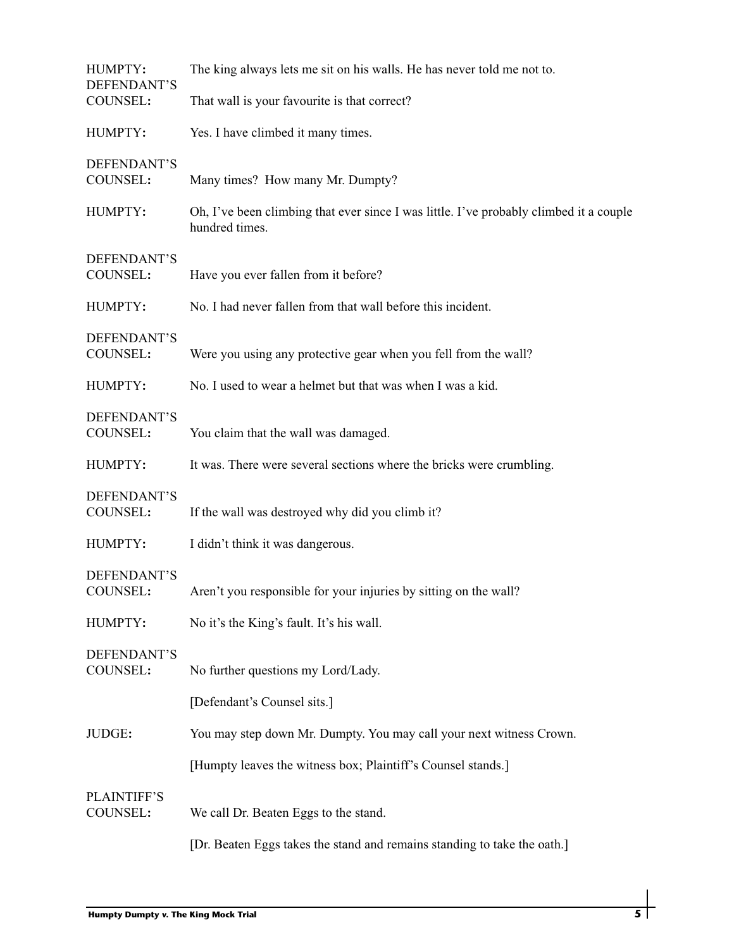| HUMPTY:<br>DEFENDANT'S         | The king always lets me sit on his walls. He has never told me not to.                                   |
|--------------------------------|----------------------------------------------------------------------------------------------------------|
| <b>COUNSEL:</b>                | That wall is your favourite is that correct?                                                             |
| HUMPTY:                        | Yes. I have climbed it many times.                                                                       |
| DEFENDANT'S<br>COUNSEL:        | Many times? How many Mr. Dumpty?                                                                         |
| HUMPTY:                        | Oh, I've been climbing that ever since I was little. I've probably climbed it a couple<br>hundred times. |
| DEFENDANT'S<br>COUNSEL:        | Have you ever fallen from it before?                                                                     |
| HUMPTY:                        | No. I had never fallen from that wall before this incident.                                              |
| DEFENDANT'S<br>COUNSEL:        | Were you using any protective gear when you fell from the wall?                                          |
| HUMPTY:                        | No. I used to wear a helmet but that was when I was a kid.                                               |
| DEFENDANT'S<br>COUNSEL:        | You claim that the wall was damaged.                                                                     |
| HUMPTY:                        | It was. There were several sections where the bricks were crumbling.                                     |
| DEFENDANT'S<br>COUNSEL:        | If the wall was destroyed why did you climb it?                                                          |
| HUMPTY:                        | I didn't think it was dangerous.                                                                         |
| DEFENDANT'S<br>COUNSEL:        | Aren't you responsible for your injuries by sitting on the wall?                                         |
| HUMPTY:                        | No it's the King's fault. It's his wall.                                                                 |
| DEFENDANT'S<br>COUNSEL:        | No further questions my Lord/Lady.                                                                       |
|                                | [Defendant's Counsel sits.]                                                                              |
| JUDGE:                         | You may step down Mr. Dumpty. You may call your next witness Crown.                                      |
|                                | [Humpty leaves the witness box; Plaintiff's Counsel stands.]                                             |
| <b>PLAINTIFF'S</b><br>COUNSEL: | We call Dr. Beaten Eggs to the stand.                                                                    |
|                                | [Dr. Beaten Eggs takes the stand and remains standing to take the oath.]                                 |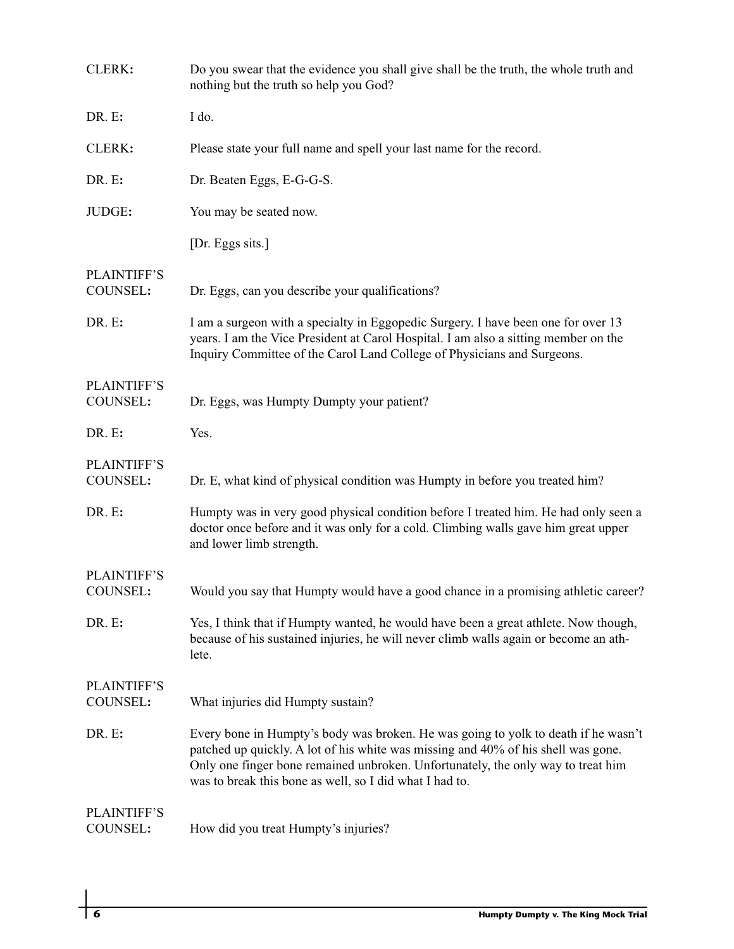| CLERK:                         | Do you swear that the evidence you shall give shall be the truth, the whole truth and<br>nothing but the truth so help you God?                                                                                                                                                                                        |
|--------------------------------|------------------------------------------------------------------------------------------------------------------------------------------------------------------------------------------------------------------------------------------------------------------------------------------------------------------------|
| DR. E:                         | I do.                                                                                                                                                                                                                                                                                                                  |
| CLERK:                         | Please state your full name and spell your last name for the record.                                                                                                                                                                                                                                                   |
| DR. E:                         | Dr. Beaten Eggs, E-G-G-S.                                                                                                                                                                                                                                                                                              |
| JUDGE:                         | You may be seated now.                                                                                                                                                                                                                                                                                                 |
|                                | [Dr. Eggs sits.]                                                                                                                                                                                                                                                                                                       |
| <b>PLAINTIFF'S</b><br>COUNSEL: | Dr. Eggs, can you describe your qualifications?                                                                                                                                                                                                                                                                        |
| DR. E:                         | I am a surgeon with a specialty in Eggopedic Surgery. I have been one for over 13<br>years. I am the Vice President at Carol Hospital. I am also a sitting member on the<br>Inquiry Committee of the Carol Land College of Physicians and Surgeons.                                                                    |
| <b>PLAINTIFF'S</b><br>COUNSEL: | Dr. Eggs, was Humpty Dumpty your patient?                                                                                                                                                                                                                                                                              |
| DR. E:                         | Yes.                                                                                                                                                                                                                                                                                                                   |
| <b>PLAINTIFF'S</b><br>COUNSEL: | Dr. E, what kind of physical condition was Humpty in before you treated him?                                                                                                                                                                                                                                           |
| DR. E:                         | Humpty was in very good physical condition before I treated him. He had only seen a<br>doctor once before and it was only for a cold. Climbing walls gave him great upper<br>and lower limb strength.                                                                                                                  |
| <b>PLAINTIFF'S</b>             |                                                                                                                                                                                                                                                                                                                        |
| COUNSEL:                       | Would you say that Humpty would have a good chance in a promising athletic career?                                                                                                                                                                                                                                     |
| DR. E:                         | Yes, I think that if Humpty wanted, he would have been a great athlete. Now though,<br>because of his sustained injuries, he will never climb walls again or become an ath-<br>lete.                                                                                                                                   |
| <b>PLAINTIFF'S</b><br>COUNSEL: | What injuries did Humpty sustain?                                                                                                                                                                                                                                                                                      |
| DR. E:                         | Every bone in Humpty's body was broken. He was going to yolk to death if he wasn't<br>patched up quickly. A lot of his white was missing and 40% of his shell was gone.<br>Only one finger bone remained unbroken. Unfortunately, the only way to treat him<br>was to break this bone as well, so I did what I had to. |
| <b>PLAINTIFF'S</b><br>COUNSEL: | How did you treat Humpty's injuries?                                                                                                                                                                                                                                                                                   |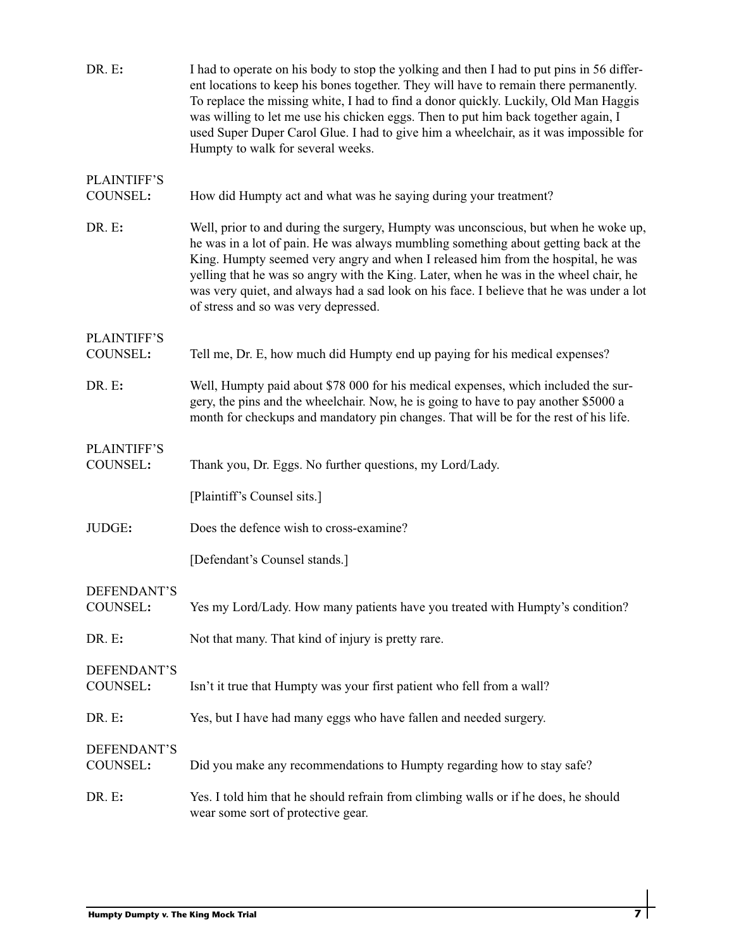| DR. E:                         | I had to operate on his body to stop the yolking and then I had to put pins in 56 differ-<br>ent locations to keep his bones together. They will have to remain there permanently.<br>To replace the missing white, I had to find a donor quickly. Luckily, Old Man Haggis<br>was willing to let me use his chicken eggs. Then to put him back together again, I<br>used Super Duper Carol Glue. I had to give him a wheelchair, as it was impossible for<br>Humpty to walk for several weeks. |
|--------------------------------|------------------------------------------------------------------------------------------------------------------------------------------------------------------------------------------------------------------------------------------------------------------------------------------------------------------------------------------------------------------------------------------------------------------------------------------------------------------------------------------------|
| <b>PLAINTIFF'S</b>             |                                                                                                                                                                                                                                                                                                                                                                                                                                                                                                |
| COUNSEL:                       | How did Humpty act and what was he saying during your treatment?                                                                                                                                                                                                                                                                                                                                                                                                                               |
| DR. E:                         | Well, prior to and during the surgery, Humpty was unconscious, but when he woke up,<br>he was in a lot of pain. He was always mumbling something about getting back at the<br>King. Humpty seemed very angry and when I released him from the hospital, he was<br>yelling that he was so angry with the King. Later, when he was in the wheel chair, he<br>was very quiet, and always had a sad look on his face. I believe that he was under a lot<br>of stress and so was very depressed.    |
| <b>PLAINTIFF'S</b>             |                                                                                                                                                                                                                                                                                                                                                                                                                                                                                                |
| COUNSEL:                       | Tell me, Dr. E, how much did Humpty end up paying for his medical expenses?                                                                                                                                                                                                                                                                                                                                                                                                                    |
| DR. E:                         | Well, Humpty paid about \$78 000 for his medical expenses, which included the sur-<br>gery, the pins and the wheelchair. Now, he is going to have to pay another \$5000 a<br>month for checkups and mandatory pin changes. That will be for the rest of his life.                                                                                                                                                                                                                              |
| <b>PLAINTIFF'S</b><br>COUNSEL: | Thank you, Dr. Eggs. No further questions, my Lord/Lady.                                                                                                                                                                                                                                                                                                                                                                                                                                       |
|                                | [Plaintiff's Counsel sits.]                                                                                                                                                                                                                                                                                                                                                                                                                                                                    |
| JUDGE:                         | Does the defence wish to cross-examine?                                                                                                                                                                                                                                                                                                                                                                                                                                                        |
|                                | [Defendant's Counsel stands.]                                                                                                                                                                                                                                                                                                                                                                                                                                                                  |
| DEFENDANT'S<br>COUNSEL:        | Yes my Lord/Lady. How many patients have you treated with Humpty's condition?                                                                                                                                                                                                                                                                                                                                                                                                                  |
| DR. E:                         | Not that many. That kind of injury is pretty rare.                                                                                                                                                                                                                                                                                                                                                                                                                                             |
| DEFENDANT'S<br>COUNSEL:        | Isn't it true that Humpty was your first patient who fell from a wall?                                                                                                                                                                                                                                                                                                                                                                                                                         |
| DR. E:                         | Yes, but I have had many eggs who have fallen and needed surgery.                                                                                                                                                                                                                                                                                                                                                                                                                              |
| DEFENDANT'S<br>COUNSEL:        | Did you make any recommendations to Humpty regarding how to stay safe?                                                                                                                                                                                                                                                                                                                                                                                                                         |
| DR. E:                         | Yes. I told him that he should refrain from climbing walls or if he does, he should<br>wear some sort of protective gear.                                                                                                                                                                                                                                                                                                                                                                      |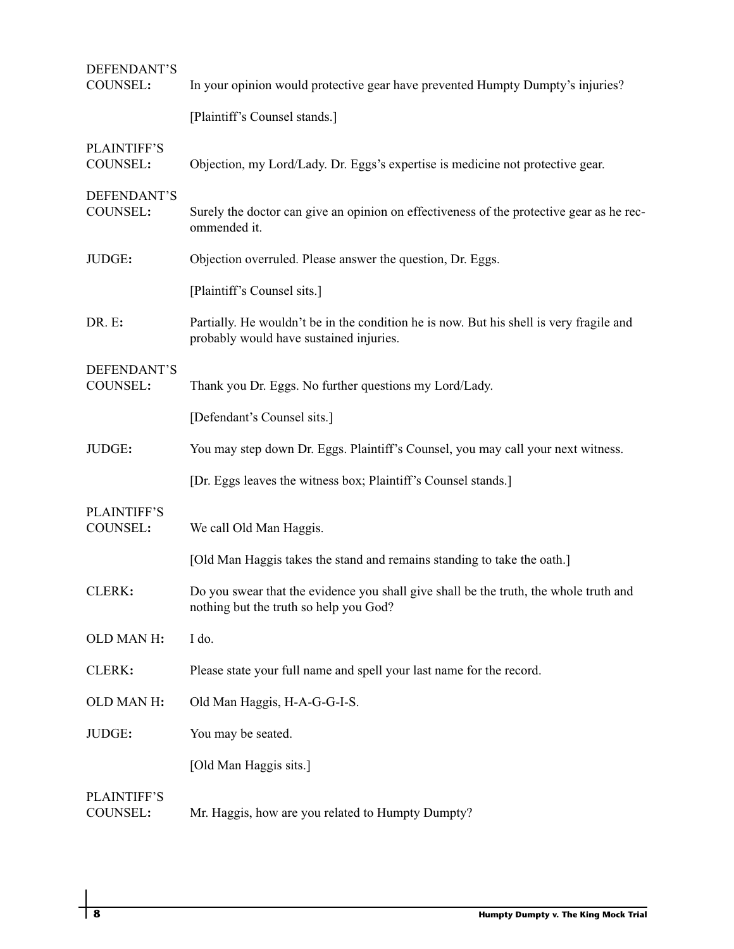| DEFENDANT'S<br>COUNSEL:        | In your opinion would protective gear have prevented Humpty Dumpty's injuries?                                                     |
|--------------------------------|------------------------------------------------------------------------------------------------------------------------------------|
|                                | [Plaintiff's Counsel stands.]                                                                                                      |
| <b>PLAINTIFF'S</b><br>COUNSEL: | Objection, my Lord/Lady. Dr. Eggs's expertise is medicine not protective gear.                                                     |
| DEFENDANT'S<br>COUNSEL:        | Surely the doctor can give an opinion on effectiveness of the protective gear as he rec-<br>ommended it.                           |
| JUDGE:                         | Objection overruled. Please answer the question, Dr. Eggs.                                                                         |
|                                | [Plaintiff's Counsel sits.]                                                                                                        |
| DR. E:                         | Partially. He wouldn't be in the condition he is now. But his shell is very fragile and<br>probably would have sustained injuries. |
| DEFENDANT'S<br>COUNSEL:        | Thank you Dr. Eggs. No further questions my Lord/Lady.                                                                             |
|                                | [Defendant's Counsel sits.]                                                                                                        |
| JUDGE:                         | You may step down Dr. Eggs. Plaintiff's Counsel, you may call your next witness.                                                   |
|                                | [Dr. Eggs leaves the witness box; Plaintiff's Counsel stands.]                                                                     |
| <b>PLAINTIFF'S</b><br>COUNSEL: | We call Old Man Haggis.                                                                                                            |
|                                | [Old Man Haggis takes the stand and remains standing to take the oath.]                                                            |
| CLERK:                         | Do you swear that the evidence you shall give shall be the truth, the whole truth and<br>nothing but the truth so help you God?    |
| OLD MAN H:                     | I do.                                                                                                                              |
| CLERK:                         | Please state your full name and spell your last name for the record.                                                               |
| OLD MAN H:                     | Old Man Haggis, H-A-G-G-I-S.                                                                                                       |
| JUDGE:                         | You may be seated.                                                                                                                 |
|                                | [Old Man Haggis sits.]                                                                                                             |
| <b>PLAINTIFF'S</b><br>COUNSEL: | Mr. Haggis, how are you related to Humpty Dumpty?                                                                                  |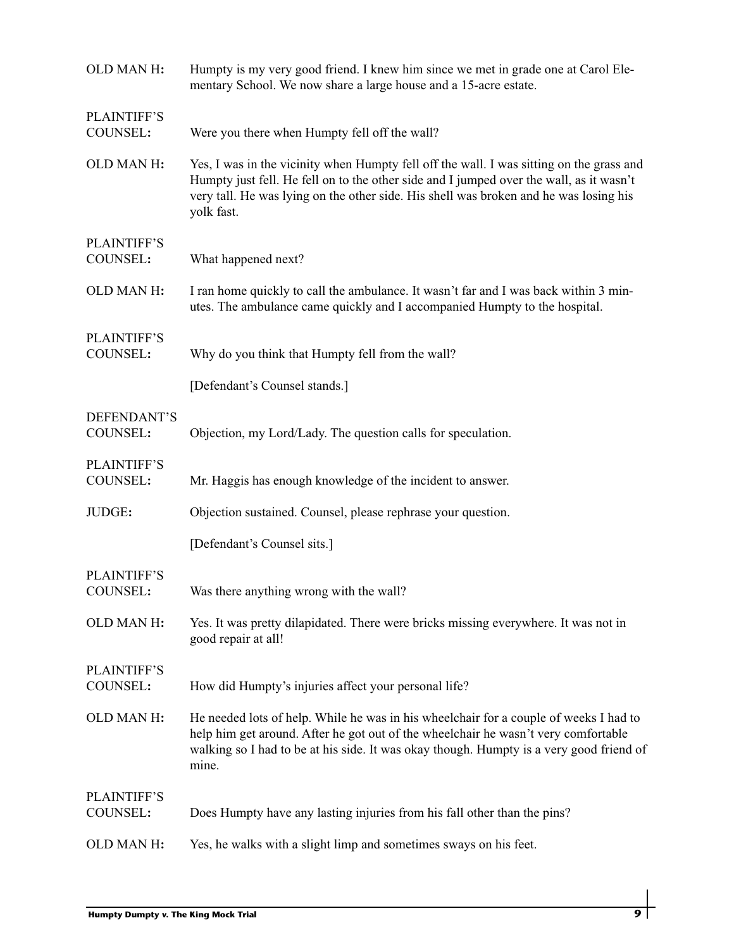| OLD MAN H:                     | Humpty is my very good friend. I knew him since we met in grade one at Carol Ele-<br>mentary School. We now share a large house and a 15-acre estate.                                                                                                                                      |
|--------------------------------|--------------------------------------------------------------------------------------------------------------------------------------------------------------------------------------------------------------------------------------------------------------------------------------------|
| <b>PLAINTIFF'S</b><br>COUNSEL: | Were you there when Humpty fell off the wall?                                                                                                                                                                                                                                              |
| OLD MAN H:                     | Yes, I was in the vicinity when Humpty fell off the wall. I was sitting on the grass and<br>Humpty just fell. He fell on to the other side and I jumped over the wall, as it wasn't<br>very tall. He was lying on the other side. His shell was broken and he was losing his<br>yolk fast. |
| <b>PLAINTIFF'S</b><br>COUNSEL: | What happened next?                                                                                                                                                                                                                                                                        |
| OLD MAN H:                     | I ran home quickly to call the ambulance. It wasn't far and I was back within 3 min-<br>utes. The ambulance came quickly and I accompanied Humpty to the hospital.                                                                                                                         |
| <b>PLAINTIFF'S</b><br>COUNSEL: | Why do you think that Humpty fell from the wall?                                                                                                                                                                                                                                           |
|                                | [Defendant's Counsel stands.]                                                                                                                                                                                                                                                              |
| DEFENDANT'S<br>COUNSEL:        | Objection, my Lord/Lady. The question calls for speculation.                                                                                                                                                                                                                               |
| <b>PLAINTIFF'S</b><br>COUNSEL: | Mr. Haggis has enough knowledge of the incident to answer.                                                                                                                                                                                                                                 |
| JUDGE:                         | Objection sustained. Counsel, please rephrase your question.                                                                                                                                                                                                                               |
|                                | [Defendant's Counsel sits.]                                                                                                                                                                                                                                                                |
| <b>PLAINTIFF'S</b><br>COUNSEL: | Was there anything wrong with the wall?                                                                                                                                                                                                                                                    |
| OLD MAN H:                     | Yes. It was pretty dilapidated. There were bricks missing everywhere. It was not in<br>good repair at all!                                                                                                                                                                                 |
| <b>PLAINTIFF'S</b><br>COUNSEL: | How did Humpty's injuries affect your personal life?                                                                                                                                                                                                                                       |
| OLD MAN H:                     | He needed lots of help. While he was in his wheelchair for a couple of weeks I had to<br>help him get around. After he got out of the wheelchair he wasn't very comfortable<br>walking so I had to be at his side. It was okay though. Humpty is a very good friend of<br>mine.            |
| <b>PLAINTIFF'S</b><br>COUNSEL: | Does Humpty have any lasting injuries from his fall other than the pins?                                                                                                                                                                                                                   |
| OLD MAN H:                     | Yes, he walks with a slight limp and sometimes sways on his feet.                                                                                                                                                                                                                          |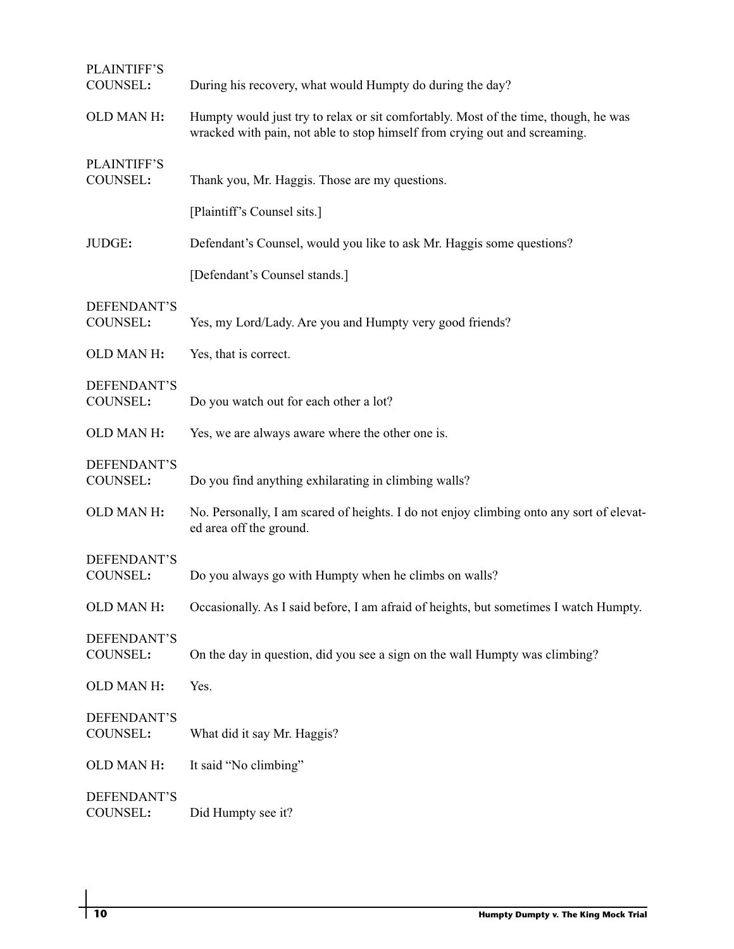| <b>PLAINTIFF'S</b><br>COUNSEL: | During his recovery, what would Humpty do during the day?                                                                                                         |
|--------------------------------|-------------------------------------------------------------------------------------------------------------------------------------------------------------------|
| OLD MAN H:                     | Humpty would just try to relax or sit comfortably. Most of the time, though, he was<br>wracked with pain, not able to stop himself from crying out and screaming. |
| <b>PLAINTIFF'S</b><br>COUNSEL: | Thank you, Mr. Haggis. Those are my questions.                                                                                                                    |
|                                | [Plaintiff's Counsel sits.]                                                                                                                                       |
| JUDGE:                         | Defendant's Counsel, would you like to ask Mr. Haggis some questions?                                                                                             |
|                                | [Defendant's Counsel stands.]                                                                                                                                     |
| DEFENDANT'S<br>COUNSEL:        | Yes, my Lord/Lady. Are you and Humpty very good friends?                                                                                                          |
| OLD MAN H:                     | Yes, that is correct.                                                                                                                                             |
| DEFENDANT'S<br>COUNSEL:        | Do you watch out for each other a lot?                                                                                                                            |
| OLD MAN H:                     | Yes, we are always aware where the other one is.                                                                                                                  |
| DEFENDANT'S<br>COUNSEL:        | Do you find anything exhilarating in climbing walls?                                                                                                              |
| OLD MAN H:                     | No. Personally, I am scared of heights. I do not enjoy climbing onto any sort of elevat-<br>ed area off the ground.                                               |
| DEFENDANT'S<br>COUNSEL:        | Do you always go with Humpty when he climbs on walls?                                                                                                             |
| OLD MAN H:                     | Occasionally. As I said before, I am afraid of heights, but sometimes I watch Humpty.                                                                             |
| DEFENDANT'S<br>COUNSEL:        | On the day in question, did you see a sign on the wall Humpty was climbing?                                                                                       |
| OLD MAN H:                     | Yes.                                                                                                                                                              |
| DEFENDANT'S<br>COUNSEL:        | What did it say Mr. Haggis?                                                                                                                                       |
| OLD MAN H:                     | It said "No climbing"                                                                                                                                             |
| DEFENDANT'S<br>COUNSEL:        | Did Humpty see it?                                                                                                                                                |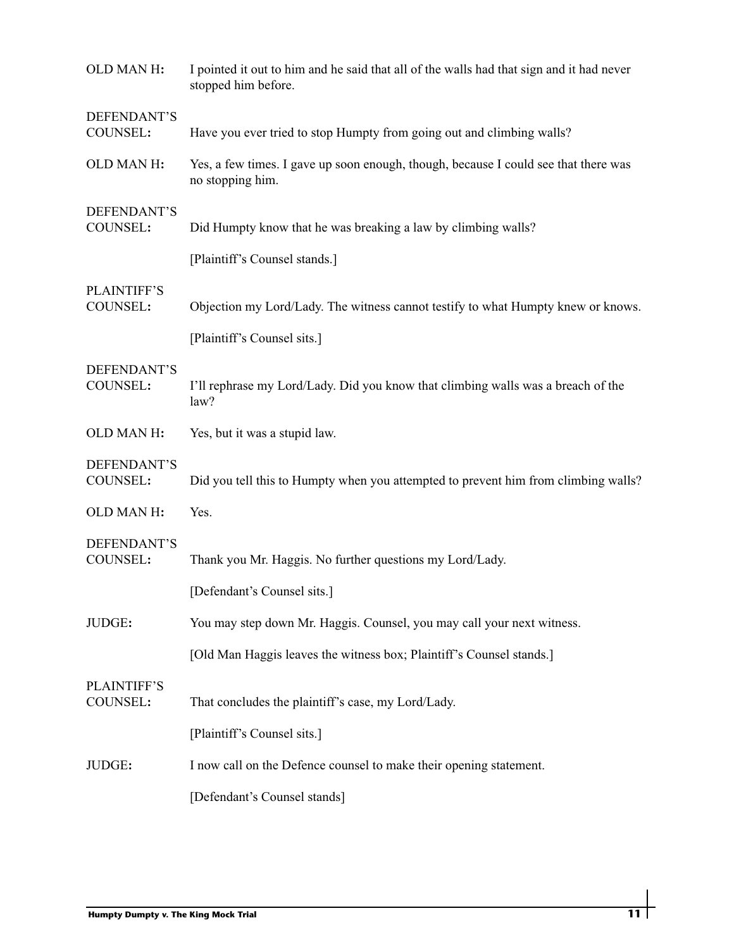| OLD MAN H:                     | I pointed it out to him and he said that all of the walls had that sign and it had never<br>stopped him before. |
|--------------------------------|-----------------------------------------------------------------------------------------------------------------|
| DEFENDANT'S<br>COUNSEL:        | Have you ever tried to stop Humpty from going out and climbing walls?                                           |
| OLD MAN H:                     | Yes, a few times. I gave up soon enough, though, because I could see that there was<br>no stopping him.         |
| DEFENDANT'S<br>COUNSEL:        | Did Humpty know that he was breaking a law by climbing walls?                                                   |
|                                | [Plaintiff's Counsel stands.]                                                                                   |
| <b>PLAINTIFF'S</b><br>COUNSEL: | Objection my Lord/Lady. The witness cannot testify to what Humpty knew or knows.                                |
|                                | [Plaintiff's Counsel sits.]                                                                                     |
| DEFENDANT'S<br>COUNSEL:        | I'll rephrase my Lord/Lady. Did you know that climbing walls was a breach of the<br>law?                        |
| OLD MAN H:                     | Yes, but it was a stupid law.                                                                                   |
| DEFENDANT'S<br>COUNSEL:        | Did you tell this to Humpty when you attempted to prevent him from climbing walls?                              |
| OLD MAN H:                     | Yes.                                                                                                            |
| DEFENDANT'S<br>COUNSEL:        | Thank you Mr. Haggis. No further questions my Lord/Lady.                                                        |
|                                | [Defendant's Counsel sits.]                                                                                     |
| JUDGE:                         | You may step down Mr. Haggis. Counsel, you may call your next witness.                                          |
|                                | [Old Man Haggis leaves the witness box; Plaintiff's Counsel stands.]                                            |
| <b>PLAINTIFF'S</b><br>COUNSEL: | That concludes the plaintiff's case, my Lord/Lady.                                                              |
|                                | [Plaintiff's Counsel sits.]                                                                                     |
| JUDGE:                         | I now call on the Defence counsel to make their opening statement.                                              |
|                                | [Defendant's Counsel stands]                                                                                    |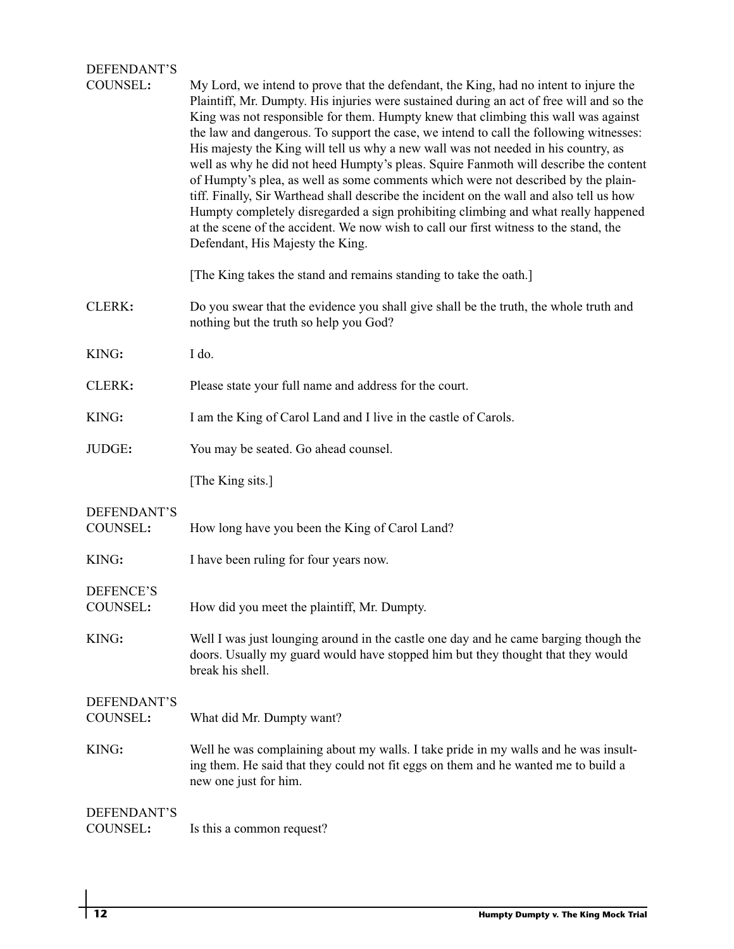## DEFENDANT'S

| COUNSEL:                       | My Lord, we intend to prove that the defendant, the King, had no intent to injure the<br>Plaintiff, Mr. Dumpty. His injuries were sustained during an act of free will and so the<br>King was not responsible for them. Humpty knew that climbing this wall was against<br>the law and dangerous. To support the case, we intend to call the following witnesses:<br>His majesty the King will tell us why a new wall was not needed in his country, as<br>well as why he did not heed Humpty's pleas. Squire Fanmoth will describe the content<br>of Humpty's plea, as well as some comments which were not described by the plain-<br>tiff. Finally, Sir Warthead shall describe the incident on the wall and also tell us how<br>Humpty completely disregarded a sign prohibiting climbing and what really happened<br>at the scene of the accident. We now wish to call our first witness to the stand, the<br>Defendant, His Majesty the King. |
|--------------------------------|-----------------------------------------------------------------------------------------------------------------------------------------------------------------------------------------------------------------------------------------------------------------------------------------------------------------------------------------------------------------------------------------------------------------------------------------------------------------------------------------------------------------------------------------------------------------------------------------------------------------------------------------------------------------------------------------------------------------------------------------------------------------------------------------------------------------------------------------------------------------------------------------------------------------------------------------------------|
|                                | [The King takes the stand and remains standing to take the oath.]                                                                                                                                                                                                                                                                                                                                                                                                                                                                                                                                                                                                                                                                                                                                                                                                                                                                                   |
| CLERK:                         | Do you swear that the evidence you shall give shall be the truth, the whole truth and<br>nothing but the truth so help you God?                                                                                                                                                                                                                                                                                                                                                                                                                                                                                                                                                                                                                                                                                                                                                                                                                     |
| KING:                          | I do.                                                                                                                                                                                                                                                                                                                                                                                                                                                                                                                                                                                                                                                                                                                                                                                                                                                                                                                                               |
| CLERK:                         | Please state your full name and address for the court.                                                                                                                                                                                                                                                                                                                                                                                                                                                                                                                                                                                                                                                                                                                                                                                                                                                                                              |
| KING:                          | I am the King of Carol Land and I live in the castle of Carols.                                                                                                                                                                                                                                                                                                                                                                                                                                                                                                                                                                                                                                                                                                                                                                                                                                                                                     |
| JUDGE:                         | You may be seated. Go ahead counsel.                                                                                                                                                                                                                                                                                                                                                                                                                                                                                                                                                                                                                                                                                                                                                                                                                                                                                                                |
|                                | [The King sits.]                                                                                                                                                                                                                                                                                                                                                                                                                                                                                                                                                                                                                                                                                                                                                                                                                                                                                                                                    |
| DEFENDANT'S<br>COUNSEL:        | How long have you been the King of Carol Land?                                                                                                                                                                                                                                                                                                                                                                                                                                                                                                                                                                                                                                                                                                                                                                                                                                                                                                      |
| KING:                          | I have been ruling for four years now.                                                                                                                                                                                                                                                                                                                                                                                                                                                                                                                                                                                                                                                                                                                                                                                                                                                                                                              |
| DEFENCE'S<br>COUNSEL:          | How did you meet the plaintiff, Mr. Dumpty.                                                                                                                                                                                                                                                                                                                                                                                                                                                                                                                                                                                                                                                                                                                                                                                                                                                                                                         |
| KING:                          | Well I was just lounging around in the castle one day and he came barging though the<br>doors. Usually my guard would have stopped him but they thought that they would<br>break his shell.                                                                                                                                                                                                                                                                                                                                                                                                                                                                                                                                                                                                                                                                                                                                                         |
| DEFENDANT'S<br><b>COUNSEL:</b> | What did Mr. Dumpty want?                                                                                                                                                                                                                                                                                                                                                                                                                                                                                                                                                                                                                                                                                                                                                                                                                                                                                                                           |
| KING:                          | Well he was complaining about my walls. I take pride in my walls and he was insult-<br>ing them. He said that they could not fit eggs on them and he wanted me to build a<br>new one just for him.                                                                                                                                                                                                                                                                                                                                                                                                                                                                                                                                                                                                                                                                                                                                                  |
| DEFENDANT'S<br>COUNSEL:        | Is this a common request?                                                                                                                                                                                                                                                                                                                                                                                                                                                                                                                                                                                                                                                                                                                                                                                                                                                                                                                           |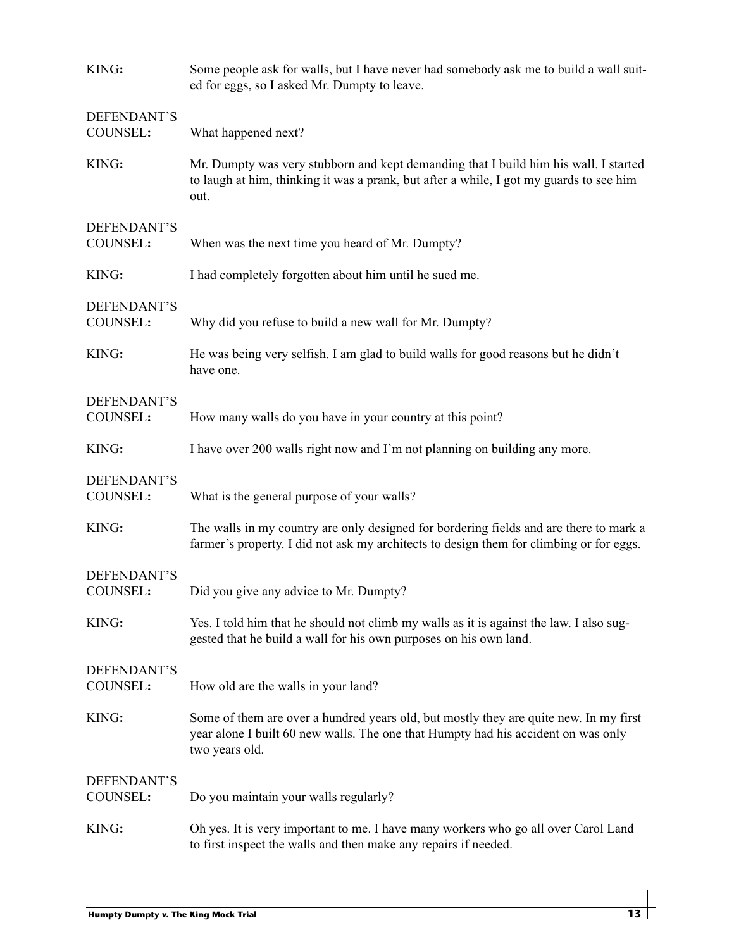| KING:                   | Some people ask for walls, but I have never had somebody ask me to build a wall suit-<br>ed for eggs, so I asked Mr. Dumpty to leave.                                                        |
|-------------------------|----------------------------------------------------------------------------------------------------------------------------------------------------------------------------------------------|
| DEFENDANT'S<br>COUNSEL: | What happened next?                                                                                                                                                                          |
| KING:                   | Mr. Dumpty was very stubborn and kept demanding that I build him his wall. I started<br>to laugh at him, thinking it was a prank, but after a while, I got my guards to see him<br>out.      |
| DEFENDANT'S<br>COUNSEL: | When was the next time you heard of Mr. Dumpty?                                                                                                                                              |
| KING:                   | I had completely forgotten about him until he sued me.                                                                                                                                       |
| DEFENDANT'S<br>COUNSEL: | Why did you refuse to build a new wall for Mr. Dumpty?                                                                                                                                       |
| KING:                   | He was being very selfish. I am glad to build walls for good reasons but he didn't<br>have one.                                                                                              |
| DEFENDANT'S<br>COUNSEL: | How many walls do you have in your country at this point?                                                                                                                                    |
| KING:                   | I have over 200 walls right now and I'm not planning on building any more.                                                                                                                   |
| DEFENDANT'S<br>COUNSEL: | What is the general purpose of your walls?                                                                                                                                                   |
| KING:                   | The walls in my country are only designed for bordering fields and are there to mark a<br>farmer's property. I did not ask my architects to design them for climbing or for eggs.            |
| DEFENDANT'S<br>COUNSEL: | Did you give any advice to Mr. Dumpty?                                                                                                                                                       |
| KING:                   | Yes. I told him that he should not climb my walls as it is against the law. I also sug-<br>gested that he build a wall for his own purposes on his own land.                                 |
| DEFENDANT'S<br>COUNSEL: | How old are the walls in your land?                                                                                                                                                          |
| KING:                   | Some of them are over a hundred years old, but mostly they are quite new. In my first<br>year alone I built 60 new walls. The one that Humpty had his accident on was only<br>two years old. |
| DEFENDANT'S<br>COUNSEL: | Do you maintain your walls regularly?                                                                                                                                                        |
| KING:                   | Oh yes. It is very important to me. I have many workers who go all over Carol Land<br>to first inspect the walls and then make any repairs if needed.                                        |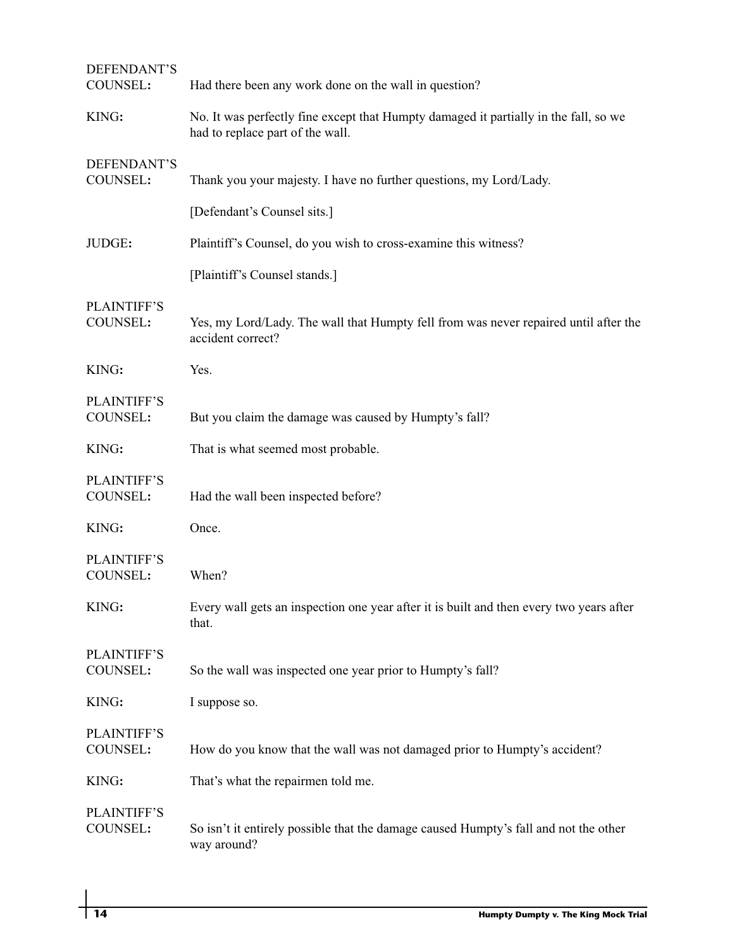| DEFENDANT'S<br>COUNSEL:        | Had there been any work done on the wall in question?                                                                    |
|--------------------------------|--------------------------------------------------------------------------------------------------------------------------|
| KING:                          | No. It was perfectly fine except that Humpty damaged it partially in the fall, so we<br>had to replace part of the wall. |
| DEFENDANT'S<br>COUNSEL:        | Thank you your majesty. I have no further questions, my Lord/Lady.                                                       |
|                                | [Defendant's Counsel sits.]                                                                                              |
| JUDGE:                         | Plaintiff's Counsel, do you wish to cross-examine this witness?                                                          |
|                                | [Plaintiff's Counsel stands.]                                                                                            |
| <b>PLAINTIFF'S</b><br>COUNSEL: | Yes, my Lord/Lady. The wall that Humpty fell from was never repaired until after the<br>accident correct?                |
| KING:                          | Yes.                                                                                                                     |
| <b>PLAINTIFF'S</b><br>COUNSEL: | But you claim the damage was caused by Humpty's fall?                                                                    |
| KING:                          | That is what seemed most probable.                                                                                       |
| <b>PLAINTIFF'S</b><br>COUNSEL: | Had the wall been inspected before?                                                                                      |
| KING:                          | Once.                                                                                                                    |
| <b>PLAINTIFF'S</b><br>COUNSEL: | When?                                                                                                                    |
| KING:                          | Every wall gets an inspection one year after it is built and then every two years after<br>that.                         |
| <b>PLAINTIFF'S</b><br>COUNSEL: | So the wall was inspected one year prior to Humpty's fall?                                                               |
| KING:                          | I suppose so.                                                                                                            |
| <b>PLAINTIFF'S</b><br>COUNSEL: | How do you know that the wall was not damaged prior to Humpty's accident?                                                |
| KING:                          | That's what the repairmen told me.                                                                                       |
| PLAINTIFF'S<br>COUNSEL:        | So isn't it entirely possible that the damage caused Humpty's fall and not the other<br>way around?                      |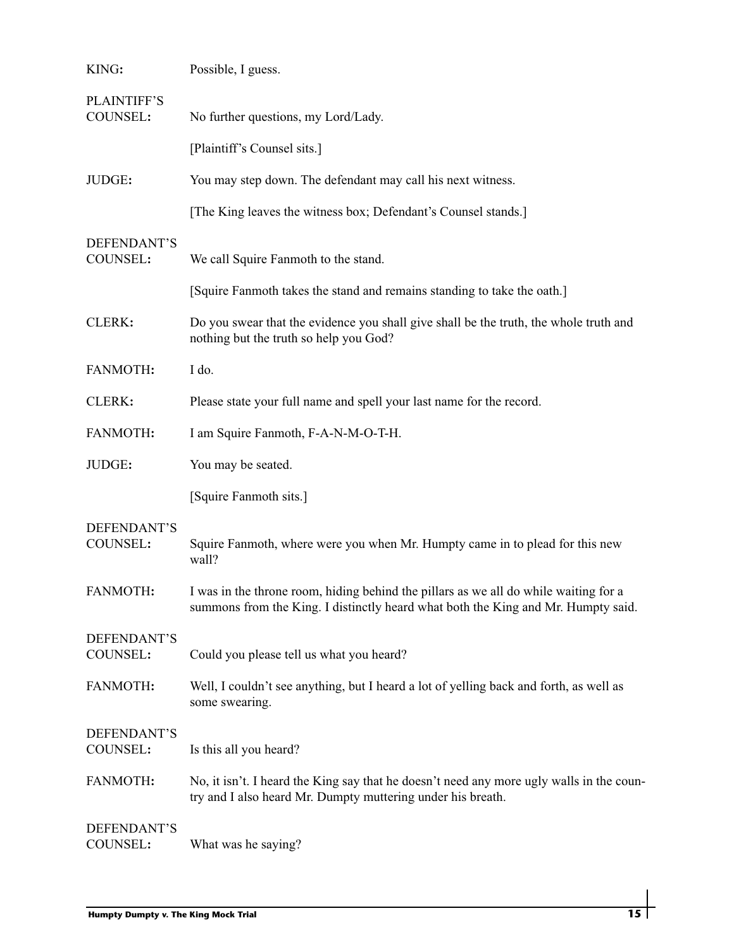| KING:                          | Possible, I guess.                                                                                                                                                        |
|--------------------------------|---------------------------------------------------------------------------------------------------------------------------------------------------------------------------|
| <b>PLAINTIFF'S</b><br>COUNSEL: | No further questions, my Lord/Lady.                                                                                                                                       |
|                                | [Plaintiff's Counsel sits.]                                                                                                                                               |
| JUDGE:                         | You may step down. The defendant may call his next witness.                                                                                                               |
|                                | [The King leaves the witness box; Defendant's Counsel stands.]                                                                                                            |
| DEFENDANT'S<br>COUNSEL:        | We call Squire Fanmoth to the stand.                                                                                                                                      |
|                                | [Squire Fanmoth takes the stand and remains standing to take the oath.]                                                                                                   |
| CLERK:                         | Do you swear that the evidence you shall give shall be the truth, the whole truth and<br>nothing but the truth so help you God?                                           |
| FANMOTH:                       | I do.                                                                                                                                                                     |
| CLERK:                         | Please state your full name and spell your last name for the record.                                                                                                      |
| FANMOTH:                       | I am Squire Fanmoth, F-A-N-M-O-T-H.                                                                                                                                       |
| JUDGE:                         | You may be seated.                                                                                                                                                        |
|                                | [Squire Fanmoth sits.]                                                                                                                                                    |
| DEFENDANT'S<br>COUNSEL:        | Squire Fanmoth, where were you when Mr. Humpty came in to plead for this new<br>wall?                                                                                     |
| FANMOTH:                       | I was in the throne room, hiding behind the pillars as we all do while waiting for a<br>summons from the King. I distinctly heard what both the King and Mr. Humpty said. |
| DEFENDANT'S<br>COUNSEL:        | Could you please tell us what you heard?                                                                                                                                  |
| FANMOTH:                       | Well, I couldn't see anything, but I heard a lot of yelling back and forth, as well as<br>some swearing.                                                                  |
| DEFENDANT'S<br>COUNSEL:        | Is this all you heard?                                                                                                                                                    |
| FANMOTH:                       | No, it isn't. I heard the King say that he doesn't need any more ugly walls in the coun-<br>try and I also heard Mr. Dumpty muttering under his breath.                   |
| DEFENDANT'S<br>COUNSEL:        | What was he saying?                                                                                                                                                       |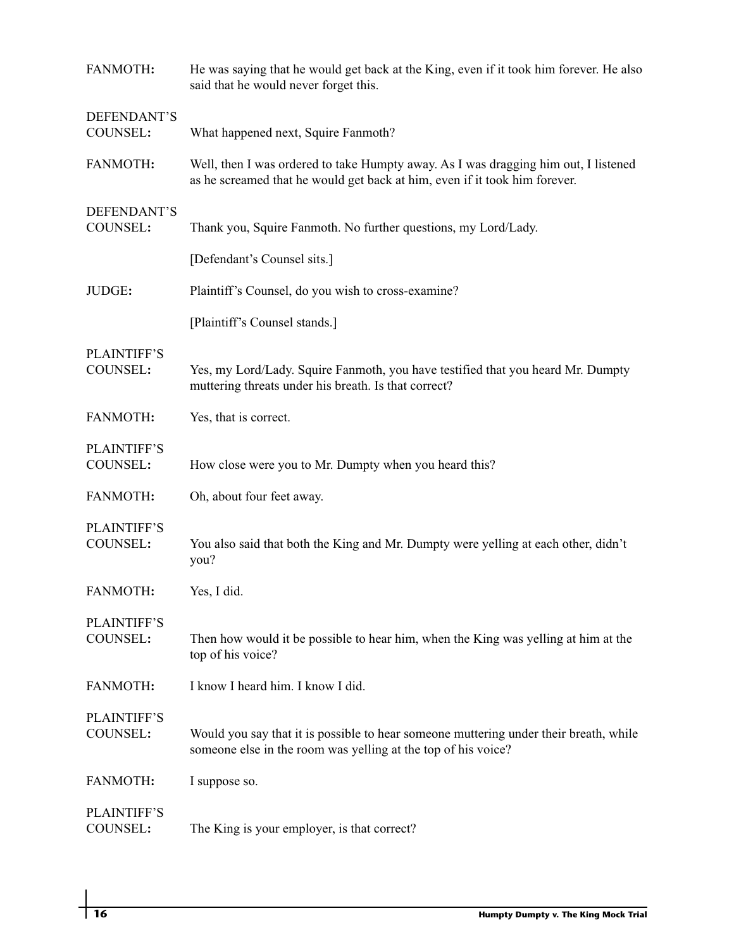| FANMOTH:                              | He was saying that he would get back at the King, even if it took him forever. He also<br>said that he would never forget this.                                   |
|---------------------------------------|-------------------------------------------------------------------------------------------------------------------------------------------------------------------|
| DEFENDANT'S<br>COUNSEL:               | What happened next, Squire Fanmoth?                                                                                                                               |
| FANMOTH:                              | Well, then I was ordered to take Humpty away. As I was dragging him out, I listened<br>as he screamed that he would get back at him, even if it took him forever. |
| DEFENDANT'S<br>COUNSEL:               | Thank you, Squire Fanmoth. No further questions, my Lord/Lady.                                                                                                    |
|                                       | [Defendant's Counsel sits.]                                                                                                                                       |
| JUDGE:                                | Plaintiff's Counsel, do you wish to cross-examine?                                                                                                                |
|                                       | [Plaintiff's Counsel stands.]                                                                                                                                     |
| <b>PLAINTIFF'S</b><br>COUNSEL:        | Yes, my Lord/Lady. Squire Fanmoth, you have testified that you heard Mr. Dumpty<br>muttering threats under his breath. Is that correct?                           |
| FANMOTH:                              | Yes, that is correct.                                                                                                                                             |
| <b>PLAINTIFF'S</b><br>COUNSEL:        | How close were you to Mr. Dumpty when you heard this?                                                                                                             |
| FANMOTH:                              | Oh, about four feet away.                                                                                                                                         |
| <b>PLAINTIFF'S</b><br>COUNSEL:        | You also said that both the King and Mr. Dumpty were yelling at each other, didn't<br>you?                                                                        |
| <b>FANMOTH:</b>                       | Yes, I did.                                                                                                                                                       |
| <b>PLAINTIFF'S</b><br><b>COUNSEL:</b> | Then how would it be possible to hear him, when the King was yelling at him at the<br>top of his voice?                                                           |
| FANMOTH:                              | I know I heard him. I know I did.                                                                                                                                 |
| <b>PLAINTIFF'S</b><br>COUNSEL:        | Would you say that it is possible to hear someone muttering under their breath, while<br>someone else in the room was yelling at the top of his voice?            |
| <b>FANMOTH:</b>                       | I suppose so.                                                                                                                                                     |
| <b>PLAINTIFF'S</b><br>COUNSEL:        | The King is your employer, is that correct?                                                                                                                       |

 $\overline{\phantom{a}}$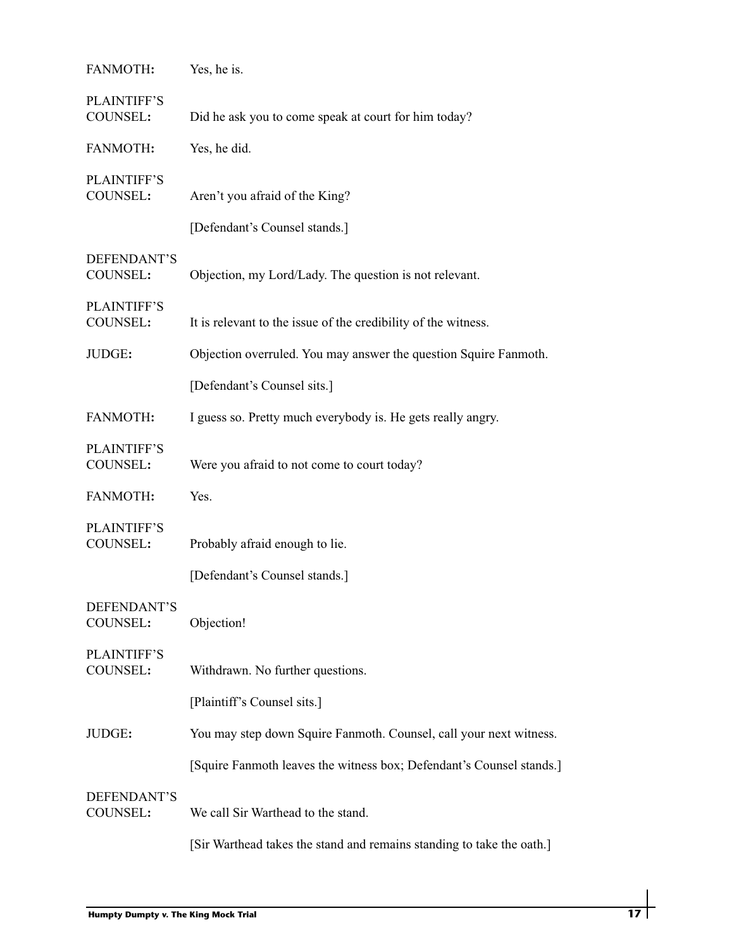| FANMOTH:                              | Yes, he is.                                                           |
|---------------------------------------|-----------------------------------------------------------------------|
| <b>PLAINTIFF'S</b><br>COUNSEL:        | Did he ask you to come speak at court for him today?                  |
| FANMOTH:                              | Yes, he did.                                                          |
| <b>PLAINTIFF'S</b><br>COUNSEL:        | Aren't you afraid of the King?                                        |
|                                       | [Defendant's Counsel stands.]                                         |
| DEFENDANT'S<br>COUNSEL:               | Objection, my Lord/Lady. The question is not relevant.                |
| <b>PLAINTIFF'S</b><br>COUNSEL:        | It is relevant to the issue of the credibility of the witness.        |
| JUDGE:                                | Objection overruled. You may answer the question Squire Fanmoth.      |
|                                       | [Defendant's Counsel sits.]                                           |
| FANMOTH:                              | I guess so. Pretty much everybody is. He gets really angry.           |
| <b>PLAINTIFF'S</b><br>COUNSEL:        | Were you afraid to not come to court today?                           |
| FANMOTH:                              | Yes.                                                                  |
| <b>PLAINTIFF'S</b><br><b>COUNSEL:</b> | Probably afraid enough to lie.                                        |
|                                       | [Defendant's Counsel stands.]                                         |
| DEFENDANT'S<br>COUNSEL:               | Objection!                                                            |
| PLAINTIFF'S<br>COUNSEL:               | Withdrawn. No further questions.                                      |
|                                       | [Plaintiff's Counsel sits.]                                           |
| JUDGE:                                | You may step down Squire Fanmoth. Counsel, call your next witness.    |
|                                       | [Squire Fanmoth leaves the witness box; Defendant's Counsel stands.]  |
| DEFENDANT'S<br>COUNSEL:               | We call Sir Warthead to the stand.                                    |
|                                       | [Sir Warthead takes the stand and remains standing to take the oath.] |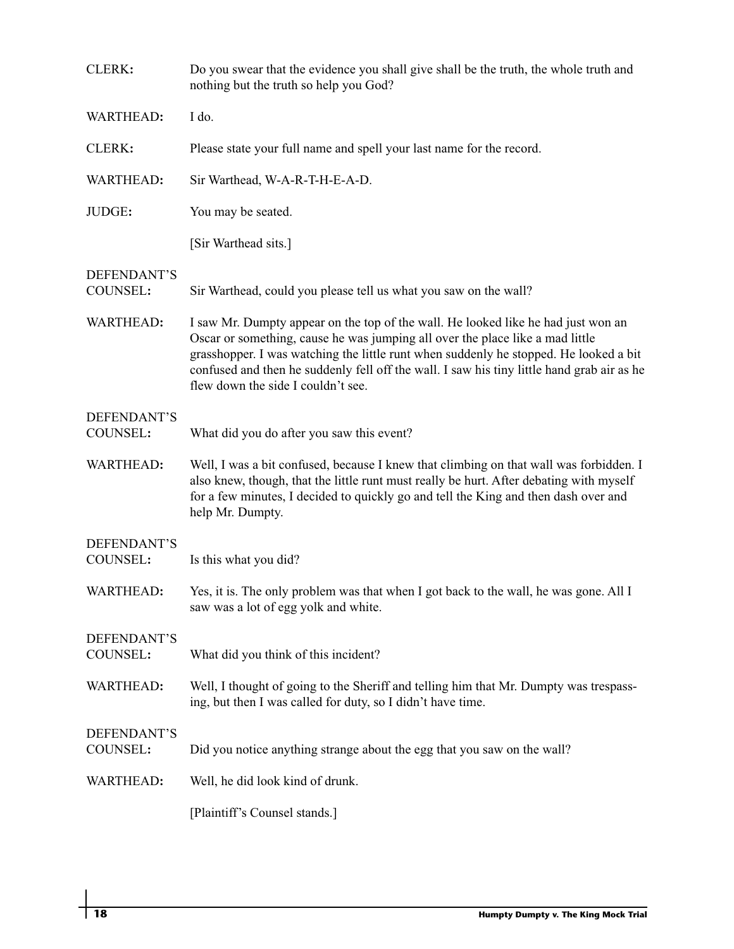| CLERK:                  | Do you swear that the evidence you shall give shall be the truth, the whole truth and<br>nothing but the truth so help you God?                                                                                                                                                                                                                                                                 |
|-------------------------|-------------------------------------------------------------------------------------------------------------------------------------------------------------------------------------------------------------------------------------------------------------------------------------------------------------------------------------------------------------------------------------------------|
| WARTHEAD:               | I do.                                                                                                                                                                                                                                                                                                                                                                                           |
| CLERK:                  | Please state your full name and spell your last name for the record.                                                                                                                                                                                                                                                                                                                            |
| WARTHEAD:               | Sir Warthead, W-A-R-T-H-E-A-D.                                                                                                                                                                                                                                                                                                                                                                  |
| JUDGE:                  | You may be seated.                                                                                                                                                                                                                                                                                                                                                                              |
|                         | [Sir Warthead sits.]                                                                                                                                                                                                                                                                                                                                                                            |
| DEFENDANT'S<br>COUNSEL: | Sir Warthead, could you please tell us what you saw on the wall?                                                                                                                                                                                                                                                                                                                                |
| WARTHEAD:               | I saw Mr. Dumpty appear on the top of the wall. He looked like he had just won an<br>Oscar or something, cause he was jumping all over the place like a mad little<br>grasshopper. I was watching the little runt when suddenly he stopped. He looked a bit<br>confused and then he suddenly fell off the wall. I saw his tiny little hand grab air as he<br>flew down the side I couldn't see. |
| DEFENDANT'S<br>COUNSEL: | What did you do after you saw this event?                                                                                                                                                                                                                                                                                                                                                       |
| WARTHEAD:               | Well, I was a bit confused, because I knew that climbing on that wall was forbidden. I<br>also knew, though, that the little runt must really be hurt. After debating with myself<br>for a few minutes, I decided to quickly go and tell the King and then dash over and<br>help Mr. Dumpty.                                                                                                    |
| DEFENDANT'S<br>COUNSEL: | Is this what you did?                                                                                                                                                                                                                                                                                                                                                                           |
| WARTHEAD:               | Yes, it is. The only problem was that when I got back to the wall, he was gone. All I<br>saw was a lot of egg yolk and white.                                                                                                                                                                                                                                                                   |
| DEFENDANT'S<br>COUNSEL: | What did you think of this incident?                                                                                                                                                                                                                                                                                                                                                            |
| WARTHEAD:               | Well, I thought of going to the Sheriff and telling him that Mr. Dumpty was trespass-<br>ing, but then I was called for duty, so I didn't have time.                                                                                                                                                                                                                                            |
| DEFENDANT'S<br>COUNSEL: | Did you notice anything strange about the egg that you saw on the wall?                                                                                                                                                                                                                                                                                                                         |
| WARTHEAD:               | Well, he did look kind of drunk.                                                                                                                                                                                                                                                                                                                                                                |
|                         | [Plaintiff's Counsel stands.]                                                                                                                                                                                                                                                                                                                                                                   |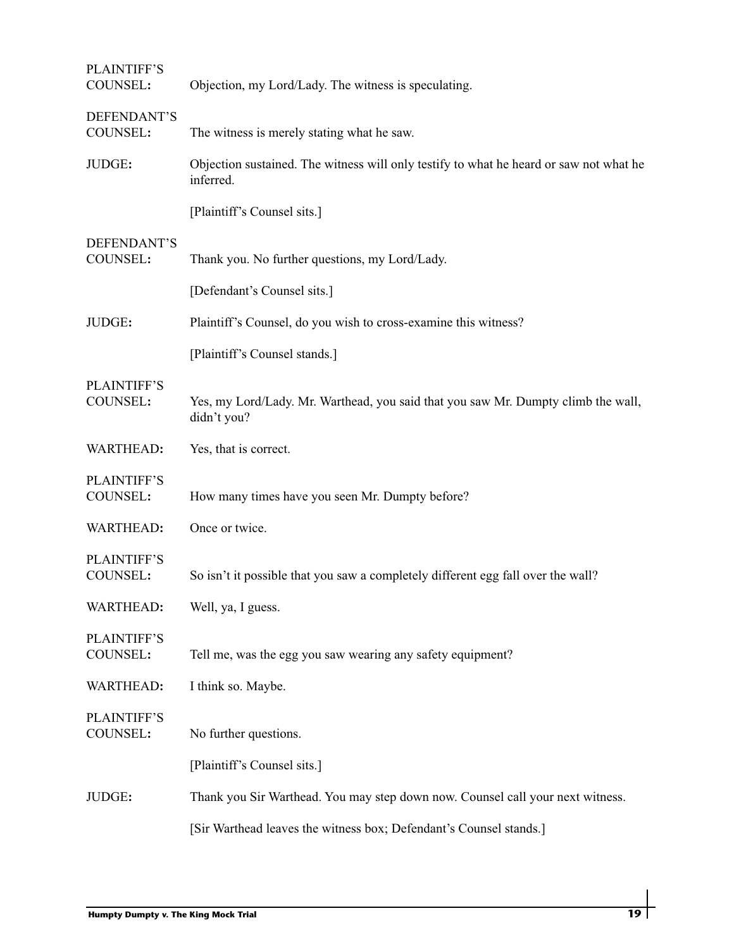| Objection, my Lord/Lady. The witness is speculating.                                                |
|-----------------------------------------------------------------------------------------------------|
| The witness is merely stating what he saw.                                                          |
| Objection sustained. The witness will only testify to what he heard or saw not what he<br>inferred. |
| [Plaintiff's Counsel sits.]                                                                         |
| Thank you. No further questions, my Lord/Lady.                                                      |
| [Defendant's Counsel sits.]                                                                         |
| Plaintiff's Counsel, do you wish to cross-examine this witness?                                     |
| [Plaintiff's Counsel stands.]                                                                       |
| Yes, my Lord/Lady. Mr. Warthead, you said that you saw Mr. Dumpty climb the wall,<br>didn't you?    |
| Yes, that is correct.                                                                               |
| How many times have you seen Mr. Dumpty before?                                                     |
| Once or twice.                                                                                      |
| So isn't it possible that you saw a completely different egg fall over the wall?                    |
| Well, ya, I guess.                                                                                  |
| Tell me, was the egg you saw wearing any safety equipment?                                          |
| I think so. Maybe.                                                                                  |
| No further questions.                                                                               |
| [Plaintiff's Counsel sits.]                                                                         |
| Thank you Sir Warthead. You may step down now. Counsel call your next witness.                      |
| [Sir Warthead leaves the witness box; Defendant's Counsel stands.]                                  |
|                                                                                                     |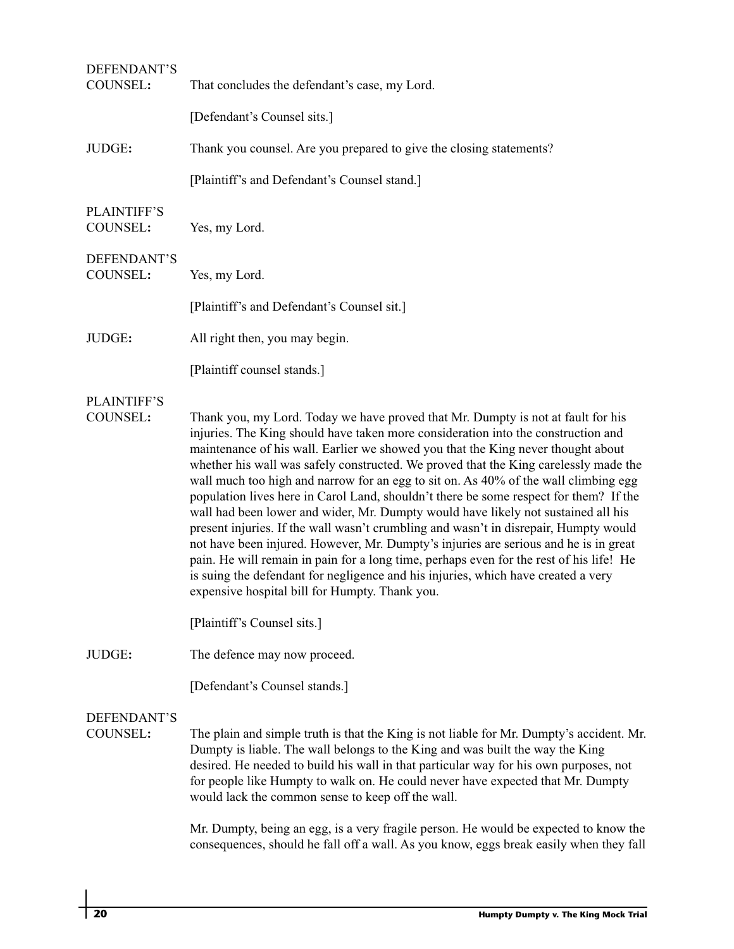| DEFENDANT'S<br>COUNSEL:               | That concludes the defendant's case, my Lord.                                                                                                                                                                                                                                                                                                                                                                                                                                                                                                                                                                                                                                                                                                                                                                                                                                                                                                                                                                                                                           |
|---------------------------------------|-------------------------------------------------------------------------------------------------------------------------------------------------------------------------------------------------------------------------------------------------------------------------------------------------------------------------------------------------------------------------------------------------------------------------------------------------------------------------------------------------------------------------------------------------------------------------------------------------------------------------------------------------------------------------------------------------------------------------------------------------------------------------------------------------------------------------------------------------------------------------------------------------------------------------------------------------------------------------------------------------------------------------------------------------------------------------|
|                                       | [Defendant's Counsel sits.]                                                                                                                                                                                                                                                                                                                                                                                                                                                                                                                                                                                                                                                                                                                                                                                                                                                                                                                                                                                                                                             |
| JUDGE:                                | Thank you counsel. Are you prepared to give the closing statements?                                                                                                                                                                                                                                                                                                                                                                                                                                                                                                                                                                                                                                                                                                                                                                                                                                                                                                                                                                                                     |
|                                       | [Plaintiff's and Defendant's Counsel stand.]                                                                                                                                                                                                                                                                                                                                                                                                                                                                                                                                                                                                                                                                                                                                                                                                                                                                                                                                                                                                                            |
| <b>PLAINTIFF'S</b><br>COUNSEL:        | Yes, my Lord.                                                                                                                                                                                                                                                                                                                                                                                                                                                                                                                                                                                                                                                                                                                                                                                                                                                                                                                                                                                                                                                           |
| DEFENDANT'S<br>COUNSEL:               | Yes, my Lord.                                                                                                                                                                                                                                                                                                                                                                                                                                                                                                                                                                                                                                                                                                                                                                                                                                                                                                                                                                                                                                                           |
|                                       | [Plaintiff's and Defendant's Counsel sit.]                                                                                                                                                                                                                                                                                                                                                                                                                                                                                                                                                                                                                                                                                                                                                                                                                                                                                                                                                                                                                              |
| JUDGE:                                | All right then, you may begin.                                                                                                                                                                                                                                                                                                                                                                                                                                                                                                                                                                                                                                                                                                                                                                                                                                                                                                                                                                                                                                          |
|                                       | [Plaintiff counsel stands.]                                                                                                                                                                                                                                                                                                                                                                                                                                                                                                                                                                                                                                                                                                                                                                                                                                                                                                                                                                                                                                             |
| <b>PLAINTIFF'S</b><br><b>COUNSEL:</b> | Thank you, my Lord. Today we have proved that Mr. Dumpty is not at fault for his<br>injuries. The King should have taken more consideration into the construction and<br>maintenance of his wall. Earlier we showed you that the King never thought about<br>whether his wall was safely constructed. We proved that the King carelessly made the<br>wall much too high and narrow for an egg to sit on. As 40% of the wall climbing egg<br>population lives here in Carol Land, shouldn't there be some respect for them? If the<br>wall had been lower and wider, Mr. Dumpty would have likely not sustained all his<br>present injuries. If the wall wasn't crumbling and wasn't in disrepair, Humpty would<br>not have been injured. However, Mr. Dumpty's injuries are serious and he is in great<br>pain. He will remain in pain for a long time, perhaps even for the rest of his life! He<br>is suing the defendant for negligence and his injuries, which have created a very<br>expensive hospital bill for Humpty. Thank you.<br>[Plaintiff's Counsel sits.] |
| JUDGE:                                | The defence may now proceed.                                                                                                                                                                                                                                                                                                                                                                                                                                                                                                                                                                                                                                                                                                                                                                                                                                                                                                                                                                                                                                            |
|                                       | [Defendant's Counsel stands.]                                                                                                                                                                                                                                                                                                                                                                                                                                                                                                                                                                                                                                                                                                                                                                                                                                                                                                                                                                                                                                           |
| DEFENDANT'S<br>COUNSEL:               | The plain and simple truth is that the King is not liable for Mr. Dumpty's accident. Mr.<br>Dumpty is liable. The wall belongs to the King and was built the way the King<br>desired. He needed to build his wall in that particular way for his own purposes, not<br>for people like Humpty to walk on. He could never have expected that Mr. Dumpty<br>would lack the common sense to keep off the wall.<br>Mr. Dumpty, being an egg, is a very fragile person. He would be expected to know the<br>consequences, should he fall off a wall. As you know, eggs break easily when they fall                                                                                                                                                                                                                                                                                                                                                                                                                                                                            |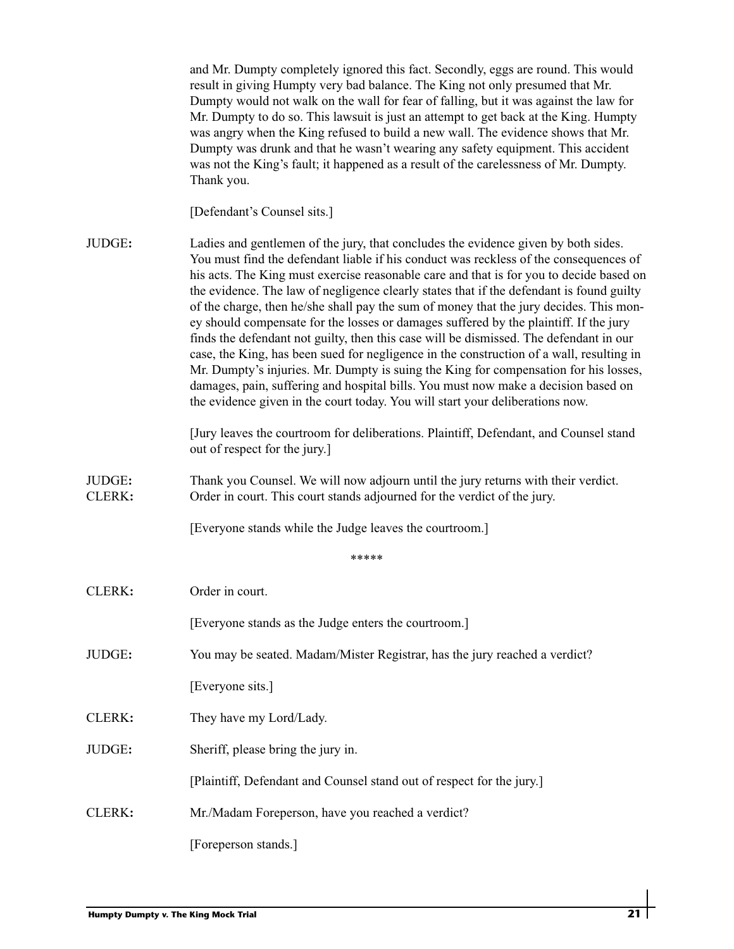|                  | and Mr. Dumpty completely ignored this fact. Secondly, eggs are round. This would<br>result in giving Humpty very bad balance. The King not only presumed that Mr.<br>Dumpty would not walk on the wall for fear of falling, but it was against the law for<br>Mr. Dumpty to do so. This lawsuit is just an attempt to get back at the King. Humpty<br>was angry when the King refused to build a new wall. The evidence shows that Mr.<br>Dumpty was drunk and that he wasn't wearing any safety equipment. This accident<br>was not the King's fault; it happened as a result of the carelessness of Mr. Dumpty.<br>Thank you.                                                                                                                                                                                                                                                                                                                                                                           |
|------------------|------------------------------------------------------------------------------------------------------------------------------------------------------------------------------------------------------------------------------------------------------------------------------------------------------------------------------------------------------------------------------------------------------------------------------------------------------------------------------------------------------------------------------------------------------------------------------------------------------------------------------------------------------------------------------------------------------------------------------------------------------------------------------------------------------------------------------------------------------------------------------------------------------------------------------------------------------------------------------------------------------------|
|                  | [Defendant's Counsel sits.]                                                                                                                                                                                                                                                                                                                                                                                                                                                                                                                                                                                                                                                                                                                                                                                                                                                                                                                                                                                |
| JUDGE:           | Ladies and gentlemen of the jury, that concludes the evidence given by both sides.<br>You must find the defendant liable if his conduct was reckless of the consequences of<br>his acts. The King must exercise reasonable care and that is for you to decide based on<br>the evidence. The law of negligence clearly states that if the defendant is found guilty<br>of the charge, then he/she shall pay the sum of money that the jury decides. This mon-<br>ey should compensate for the losses or damages suffered by the plaintiff. If the jury<br>finds the defendant not guilty, then this case will be dismissed. The defendant in our<br>case, the King, has been sued for negligence in the construction of a wall, resulting in<br>Mr. Dumpty's injuries. Mr. Dumpty is suing the King for compensation for his losses,<br>damages, pain, suffering and hospital bills. You must now make a decision based on<br>the evidence given in the court today. You will start your deliberations now. |
|                  | [Jury leaves the courtroom for deliberations. Plaintiff, Defendant, and Counsel stand<br>out of respect for the jury.]                                                                                                                                                                                                                                                                                                                                                                                                                                                                                                                                                                                                                                                                                                                                                                                                                                                                                     |
| JUDGE:<br>CLERK: | Thank you Counsel. We will now adjourn until the jury returns with their verdict.<br>Order in court. This court stands adjourned for the verdict of the jury.                                                                                                                                                                                                                                                                                                                                                                                                                                                                                                                                                                                                                                                                                                                                                                                                                                              |
|                  | [Everyone stands while the Judge leaves the courtroom.]                                                                                                                                                                                                                                                                                                                                                                                                                                                                                                                                                                                                                                                                                                                                                                                                                                                                                                                                                    |
|                  | *****                                                                                                                                                                                                                                                                                                                                                                                                                                                                                                                                                                                                                                                                                                                                                                                                                                                                                                                                                                                                      |
| CLERK:           | Order in court.                                                                                                                                                                                                                                                                                                                                                                                                                                                                                                                                                                                                                                                                                                                                                                                                                                                                                                                                                                                            |
|                  | [Everyone stands as the Judge enters the courtroom.]                                                                                                                                                                                                                                                                                                                                                                                                                                                                                                                                                                                                                                                                                                                                                                                                                                                                                                                                                       |
| JUDGE:           | You may be seated. Madam/Mister Registrar, has the jury reached a verdict?                                                                                                                                                                                                                                                                                                                                                                                                                                                                                                                                                                                                                                                                                                                                                                                                                                                                                                                                 |
|                  | [Everyone sits.]                                                                                                                                                                                                                                                                                                                                                                                                                                                                                                                                                                                                                                                                                                                                                                                                                                                                                                                                                                                           |
| CLERK:           | They have my Lord/Lady.                                                                                                                                                                                                                                                                                                                                                                                                                                                                                                                                                                                                                                                                                                                                                                                                                                                                                                                                                                                    |
| JUDGE:           | Sheriff, please bring the jury in.                                                                                                                                                                                                                                                                                                                                                                                                                                                                                                                                                                                                                                                                                                                                                                                                                                                                                                                                                                         |
|                  | [Plaintiff, Defendant and Counsel stand out of respect for the jury.]                                                                                                                                                                                                                                                                                                                                                                                                                                                                                                                                                                                                                                                                                                                                                                                                                                                                                                                                      |
| CLERK:           | Mr./Madam Foreperson, have you reached a verdict?                                                                                                                                                                                                                                                                                                                                                                                                                                                                                                                                                                                                                                                                                                                                                                                                                                                                                                                                                          |
|                  | [Foreperson stands.]                                                                                                                                                                                                                                                                                                                                                                                                                                                                                                                                                                                                                                                                                                                                                                                                                                                                                                                                                                                       |